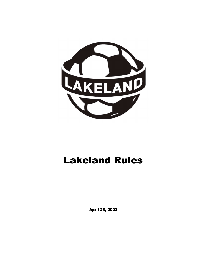

# Lakeland Rules

April 28, 2022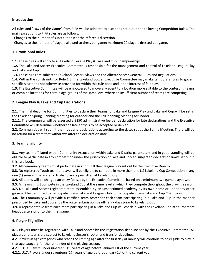#### Introduction

All rules and "Laws of the Game" from FIFA will be adhered to except as set out in the following Competition Rules. The main exceptions to FIFA rules are as follows:

- Changes to the number of substitutions; at the referee's discretion.

- Changes to the number of players allowed to dress per game; maximum 20 players dressed per game.

## 1. Provisional Rules

1.1. These rules will apply to all Lakeland League Play & Lakeland Cup Championships.

1.2. The Lakeland Soccer Executive Committee is responsible for the management and control of Lakeland League Play and Lakeland Cup.

1.3. These rules are subject to Lakeland Soccer Bylaws and the Alberta Soccer General Rules and Regulations.

1.4. Within the constraints for Rule 1.3, the Lakeland Soccer Executive Committee may make temporary rules to govern specific situations not otherwise provided for within this rule book and in the interest of fair play.

1.5. The Executive Committee will be empowered to move any event to a location more suitable to the contesting teams or combine locations for certain age groups of the same level where an insufficient number of teams are competing.

#### 2. League Play & Lakeland Cup Declarations

2.1. The final deadline for Communities to declare their teams for Lakeland League Play and Lakeland Cup will be set at the Lakeland Spring Planning Meeting for outdoor and the Fall Planning Meeting for indoor.

2.1.1. The community will be assessed a \$250 administrative fee per declaration for late declarations and the Executive Committee will determine whether the late entry is to be accepted or denied.

2.2. Communities will submit their fees and declarations according to the dates set at the Spring Meeting. There will be no refund for a team that withdraws after the declaration date.

## 3. Team Eligibility

3.1. Any team affiliated with a Community Association within Lakeland District parameters and in good standing will be eligible to participate in any competition under the jurisdiction of Lakeland Soccer, subject to declaration limits set out in this rule book.

3.2. All community teams must participate in and fulfill their league play set out by the Executive Director.

3.3. No registered Youth team or player will be eligible to compete in more than one (1) Lakeland Cup Competition in any one (1) season. There are no trialist players permitted at Lakeland Cup.

3.4. All teams will be charged an entry fee set by the Executive Committee, based on a minimum two game playdown.

3.5. All teams must compete in the Lakeland Cup at the same level at which they compete throughout the playing season. 3.7. No Lakeland Soccer registered team assembled by an unsanctioned academy by its own name or under any other guise will be permitted to participate in any Lakeland League, club, or participate in any Lakeland Cup Championship.

**3.8.** The Community will provide a certified team roster for each team participating in a Lakeland Cup in the manner prescribed by Lakeland Soccer by the roster submission deadline. (7 days prior to Lakeland Cup)

3.9. A representative from each team participating in a Lakeland Cup will check in with the Lakeland Rep at tournament headquarters prior to their first game.

## 4. Player Eligibility

4.1. Players must be registered with Lakeland Soccer by the registration deadline set by the Executive Committee. All players and teams are subject to Lakeland Soccer's roster and transfer deadlines.

4.2. Players in age categories who reach the limiting age after the first day of January will continue to be eligible to play in that age category for the remainder of the playing season.

4.2.1. U19: Players under nineteen (19) years of age before January 1st of the current year

**4.2.2.** U17: Players under seventeen (17) years of age before January 1st of the current year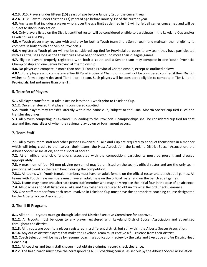4.2.3. U15: Players under fifteen (15) years of age before January 1st of the current year

4.2.4. U13: Players under thirteen (13) years of age before January 1st of the current year

4.3. Any team that includes a player who is over the age limit as defined in 4.5 will forfeit all games concerned and will be subject to disciplinary action.

4.4. Only players listed on the District certified roster will be considered eligible to participate in the Lakeland Cup and/or Lakeland League Play.

4.5. A Youth player may register with and play for both a Youth team and a Senior team and maintain their eligibility to compete in both Youth and Senior Provincials.

4.6. A registered Youth player will not be considered cup tied for Provincial purposes to any team they have participated with as a trialist as long as the trialist rules have been followed (no more than 2 league games)

4.7. Eligible players properly registered with both a Youth and a Senior team may compete in one Youth Provincial Championship and one Senior Provincial Championship.

4.8. No player can compete in more than one (1) Youth Provincial Championship, except as outlined below:

4.8.1. Rural players who compete in a Tier IV Rural Provincial Championship will not be considered cup tied if their District wishes to form a legally declared Tier I, II or III team. Such players will be considered eligible to compete in Tier I, II or III Provincials, but not more than one (1).

## 5. Transfer of Players

5.1. All player transfer must take place no less than 1 week prior to Lakeland Cup.

5.1.2. Once transferred that player is considered cup-tied

5.2. Youth players may transfer laterally within the same club, subject to the usual Alberta Soccer cup-tied rules and transfer deadlines.

5.3. All players competing in Lakeland Cup leading to the Provincial Championships shall be considered cup tied for that age and tier, regardless of when the regional play down or tournament occurs.

# 7. Team Staff

7.1. All players, team staff and other persons involved in Lakeland Cup are required to conduct themselves in a manner which will bring credit to themselves, their teams, the Host Association, the Lakeland District Soccer Association, the Alberta Soccer Association, and the sport of soccer.

7.2. At all official and civic functions associated with the competition, participants must be present and dressed appropriately.

7.3. A maximum of four (4) non-playing personnel may be on listed on the team's official roster and are the only team personnel allowed on the team bench during the competition.

7.3.1. All teams with Youth female members must have an adult female on the official roster and bench at all games. All teams with Youth male members must have an adult male on the official roster and on the bench at all games.

7.3.2. Teams may name one alternate team staff member who may only replace the initial four in the case of an absence. 7.4. All Coaches and Staff listed on a Lakeland Cup roster are required to obtain Criminal Record Check Clearance.

7.5. One staff member from each team involved in Lakeland Cup must have the appropriate coaching course designated by the Alberta Soccer Association.

## 8. Tier II-III Programs

8.1. All tier II-III tryouts must go through Lakeland District Executive Committee for approval.

8.1.2. All tryouts must be open to any player registered with Lakeland District Soccer Association and advertised throughout the district.

8.1.3. All tryouts are open to a player registered in a different district, but still within the Alberta Soccer Association.

8.1.4. Any out of district players that make the Lakeland Team must receive a full release from their district.

8.2. Coach Selection will be made by resume (coaching application) review by the Lakeland Executive and/or District Head Coach(es).

8.2.1. All coaches and team staff chosen must obtain a criminal record check clearance.

8.2.2. The head coach must have the corresponding NCCP coaching course, as set out by the Alberta Soccer Association.